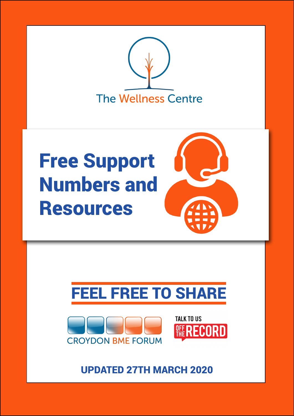

# Free Support Numbers and Resources



## FEEL FREE TO SHARE





Updated 27th March 2020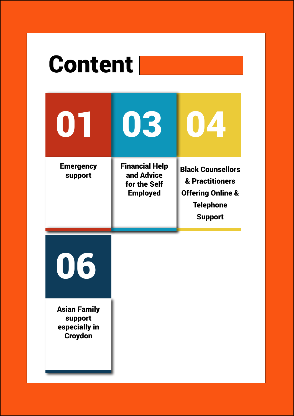| <b>Content</b>                                                    |                                                                        |                                                                                                                   |
|-------------------------------------------------------------------|------------------------------------------------------------------------|-------------------------------------------------------------------------------------------------------------------|
| O TI                                                              | 03                                                                     | 04                                                                                                                |
| <b>Emergency</b><br>support                                       | <b>Financial Help</b><br>and Advice<br>for the Self<br><b>Employed</b> | <b>Black Counsellors</b><br>& Practitioners<br><b>Offering Online &amp;</b><br><b>Telephone</b><br><b>Support</b> |
|                                                                   |                                                                        |                                                                                                                   |
| <b>Asian Family</b><br>support<br>especially in<br><b>Croydon</b> |                                                                        |                                                                                                                   |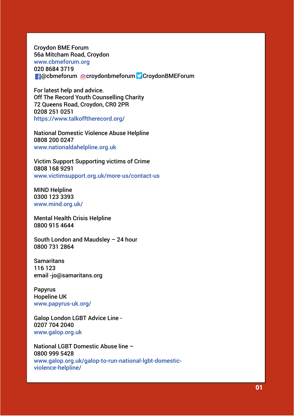Croydon BME Forum 56a Mitcham Road, Croydon <www.cbmeforum.org> 020 8684 3719 **Croydoneforum @croydonbmeforum CroydonBMEForum** 

For latest help and advice. Off The Record Youth Counselling Charity 72 Queens Road, Croydon, CR0 2PR 0208 251 0251 <https://www.talkofftherecord.org/>

National Domestic Violence Abuse Helpline 0808 200 0247 <www.nationaldahelpline.org.uk>

Victim Support Supporting victims of Crime 0808 168 9291 [www.victimsupport.org.uk/more-us/contact-](www.victimsupport.org.uk/more-us/contact)us

MIND Helpline 0300 123 3393 [www.mind.org.uk/](www.mind.org.uk)

Mental Health Crisis Helpline 0800 915 4644

South London and Maudsley – 24 hour 0800 731 2864

**Samaritans** 116 123 email [-jo@samaritans.org](mailto:jo@samaritans.org) 

Papyrus Hopeline UK [www.papyrus-uk.org/](www.papyrus-uk.org)

Galop London LGBT Advice Line - 0207 704 2040 <www.galop.org.uk>

National LGBT Domestic Abuse line – 0800 999 5428 [www.galop.org.uk/galop-](www.galop.org.uk/galop)to-run-national-lgbt-domesticviolence-helpline/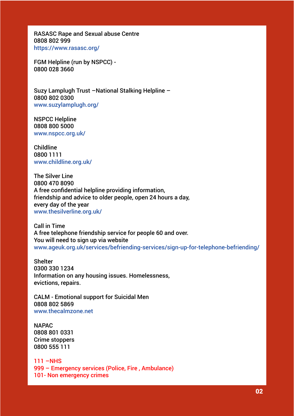RASASC Rape and Sexual abuse Centre 0808 802 999 [https://www.rasasc.org/](https://www.rasasc.org)

FGM Helpline (run by NSPCC) - 0800 028 3660

Suzy Lamplugh Trust –National Stalking Helpline – 0800 802 0300 [www.suzylamplugh.org/](www.suzylamplugh.org)

NSPCC Helpline 0808 800 5000 <www.nspcc.org.uk>/

Childline 0800 1111 <www.childline.org.uk>/

The Silver Line 0800 470 8090 A free confidential helpline providing information, friendship and advice to older people, open 24 hours a day, every day of the year <www.thesilverline.org.uk>/

Call in Time A free telephone friendship service for people 60 and over. You will need to sign up via website [www.ageuk.org.uk/services/befriending-services/sign-up-for-telephone-befriending/](https://www.ageuk.org.uk/services/befriending-services/sign-up-for-telephone-befriending/)

**Shelter** 0300 330 1234 Information on any housing issues. Homelessness, evictions, repairs.

CALM - Emotional support for Suicidal Men 0808 802 5869 <www.thecalmzone.net>

NAPAC 0808 801 0331 Crime stoppers 0800 555 111

111 –NHS 999 – Emergency services (Police, Fire , Ambulance) 101- Non emergency crimes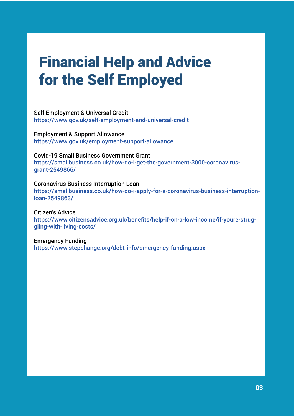### Financial Help and Advice for the Self Employed

Self Employment & Universal Credit <https://www.gov.uk/self>-employment-and-universal-credit

Employment & Support Allowance [https://www.gov.uk/employment-](https://www.gov.uk/employment)support-allowance

Covid-19 Small Business Government Grant [https://smallbusiness.co.uk/how-do-i-get-the-government-3000-coronavirus](https://smallbusiness.co.uk/how-do-i-get-the-government-3000-coronavirus-grant-2549866/)[grant-2549866/](https://smallbusiness.co.uk/how-do-i-get-the-government-3000-coronavirus-grant-2549866/)

Coronavirus Business Interruption Loan [https://smallbusiness.co.uk/how-do-i-apply-for-a-coronavirus-business-interruption](https://smallbusiness.co.uk/how-do-i-apply-for-a-coronavirus-business-interruption-loan-2549863/)[loan-2549863/](https://smallbusiness.co.uk/how-do-i-apply-for-a-coronavirus-business-interruption-loan-2549863/)

Citizen's Advice [https://www.citizensadvice.org.uk/benefits/help-if-on-a-low-income/if-youre-strug](https://www.citizensadvice.org.uk/benefits/help-if-on-a-low-income/if-youre-struggling-with-living-costs/)[gling-with-living-costs/](https://www.citizensadvice.org.uk/benefits/help-if-on-a-low-income/if-youre-struggling-with-living-costs/)

Emergency Funding <https://www.stepchange.org/debt-info/emergency-funding.aspx>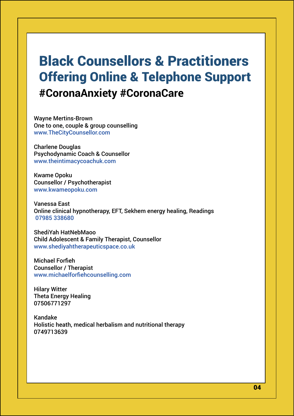#### Black Counsellors & Practitioners Offering Online & Telephone Support **#CoronaAnxiety #CoronaCare**

Wayne Mertins-Brown One to one, couple & group counselling <www.TheCityCounsellor.com>

Charlene Douglas Psychodynamic Coach & Counsellor <www.theintimacycoachuk.com>

Kwame Opoku Counsellor / Psychotherapist <www.kwameopoku.com>

Vanessa East Online clinical hypnotherapy, EFT, Sekhem energy healing, Readings 07985 338680

ShediYah HatNebMaoo Child Adolescent & Family Therapist, Counsellor <www.shediyahtherapeuticspace.co.uk>

Michael Forfieh Counsellor / Therapist <www.michaelforfiehcounselling.com>

Hilary Witter Theta Energy Healing 07506771297

Kandake Holistic heath, medical herbalism and nutritional therapy 0749713639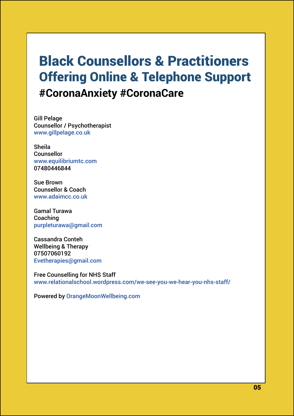#### Black Counsellors & Practitioners Offering Online & Telephone Support **#CoronaAnxiety #CoronaCare**

Gill Pelage Counsellor / Psychotherapist <www.gillpelage.co.uk>

Sheila Counsellor [www.equilibriumtc.com](https://equilibriumtc.com/) 07480446844

Sue Brown Counsellor & Coach <www.adaimcc.co.uk>

Gamal Turawa **Coaching** [purpleturawa@gmail.com](mailto:purpleturawa@gmail.com)

Cassandra Conteh Wellbeing & Therapy 07507060192 [Evetherapies@gmail.com](mailto:Evetherapies@gmail.com)

Free Counselling for NHS Staff [www.relationalschool.wordpress.com/we-](www.relationalschool.wordpress.com/we)see-you-we-hear-you-nhs-staff/

Powered by <OrangeMoonWellbeing.com>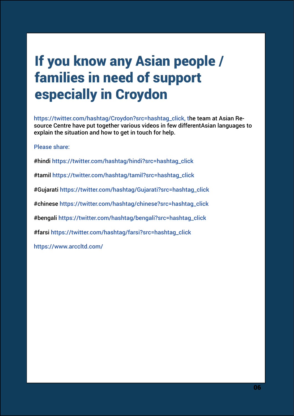### If you know any Asian people / families in need of support especially in Croydon

[https://twitter.com/hashtag/Croydon?src=hashtag\\_click,](https://twitter.com/hashtag/Croydon?src=hashtag_click,) the team at Asian Resource Centre have put together various videos in few differentAsian languages to explain the situation and how to get in touch for help.

Please share:

#hindi [https://twitter.com/hashtag/hindi?src=hashtag\\_click](https://twitter.com/hashtag/hindi?src=hashtag_click)

#tamil [https://twitter.com/hashtag/tamil?src=hashtag\\_click](https://twitter.com/hashtag/tamil?src=hashtag_click)

#Gujarati [https://twitter.com/hashtag/Gujarati?src=hashtag\\_click](https://twitter.com/hashtag/Gujarati?src=hashtag_click) 

#chinese [https://twitter.com/hashtag/chinese?src=hashtag\\_click](https://twitter.com/hashtag/chinese?src=hashtag_click) 

#bengali [https://twitter.com/hashtag/bengali?src=hashtag\\_click](https://twitter.com/hashtag/bengali?src=hashtag_click)

#farsi [https://twitter.com/hashtag/farsi?src=hashtag\\_click](https://twitter.com/hashtag/farsi?src=hashtag_click)

[https://www.arccltd.com/](https://www.arccltd.com)